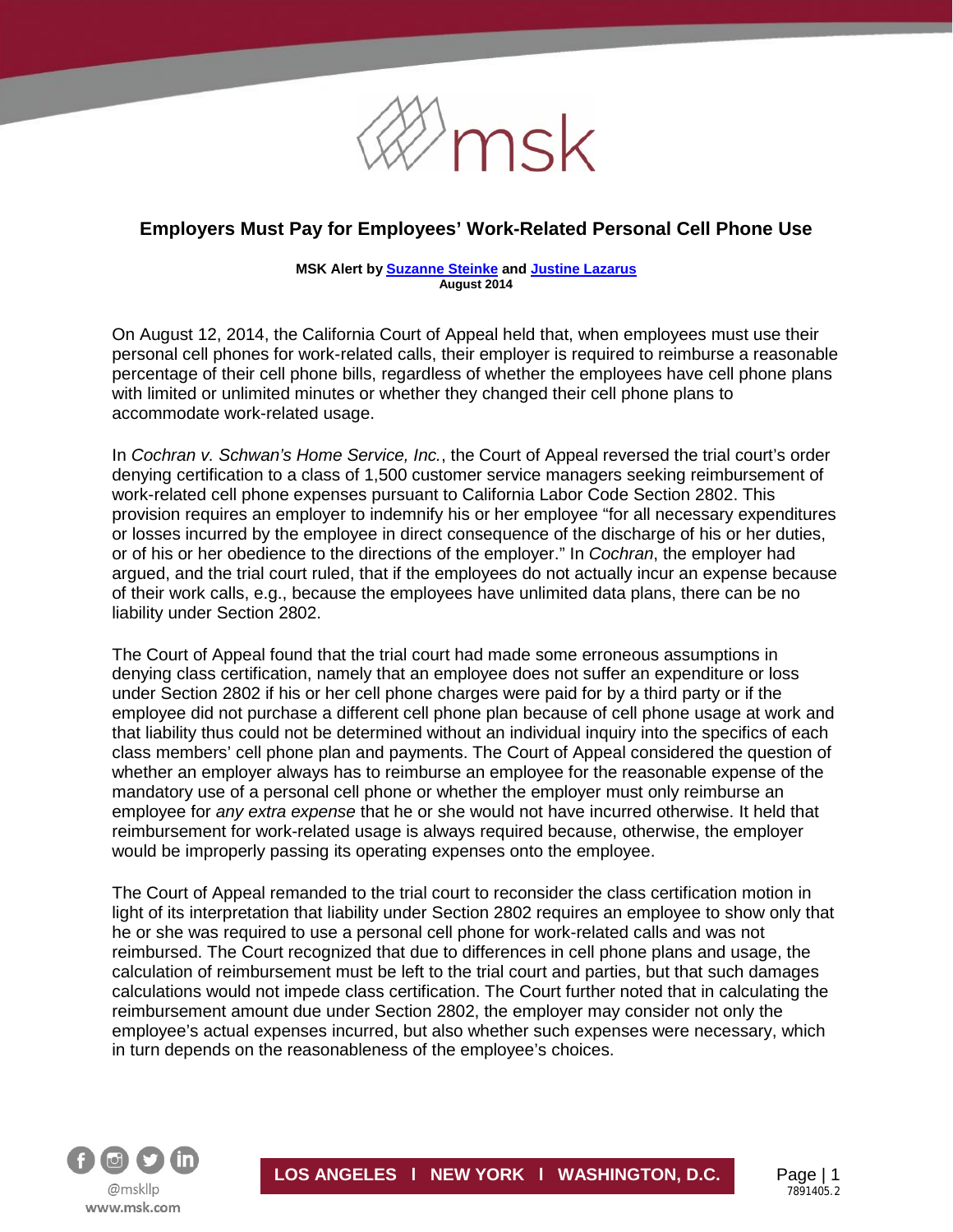

# **Employers Must Pay for Employees' Work-Related Personal Cell Phone Use**

#### **MSK Alert b[y Suzanne Steinke](http://www.msk.com/attorneys-Suzanne_Steinke) and [Justine Lazarus](http://www.msk.com/attorneys-Justine_Lazarus) August 2014**

On August 12, 2014, the California Court of Appeal held that, when employees must use their personal cell phones for work-related calls, their employer is required to reimburse a reasonable percentage of their cell phone bills, regardless of whether the employees have cell phone plans with limited or unlimited minutes or whether they changed their cell phone plans to accommodate work-related usage.

In *Cochran v. Schwan's Home Service, Inc.*, the Court of Appeal reversed the trial court's order denying certification to a class of 1,500 customer service managers seeking reimbursement of work-related cell phone expenses pursuant to California Labor Code Section 2802. This provision requires an employer to indemnify his or her employee "for all necessary expenditures or losses incurred by the employee in direct consequence of the discharge of his or her duties, or of his or her obedience to the directions of the employer." In *Cochran*, the employer had argued, and the trial court ruled, that if the employees do not actually incur an expense because of their work calls, e.g., because the employees have unlimited data plans, there can be no liability under Section 2802.

The Court of Appeal found that the trial court had made some erroneous assumptions in denying class certification, namely that an employee does not suffer an expenditure or loss under Section 2802 if his or her cell phone charges were paid for by a third party or if the employee did not purchase a different cell phone plan because of cell phone usage at work and that liability thus could not be determined without an individual inquiry into the specifics of each class members' cell phone plan and payments. The Court of Appeal considered the question of whether an employer always has to reimburse an employee for the reasonable expense of the mandatory use of a personal cell phone or whether the employer must only reimburse an employee for *any extra expense* that he or she would not have incurred otherwise. It held that reimbursement for work-related usage is always required because, otherwise, the employer would be improperly passing its operating expenses onto the employee.

The Court of Appeal remanded to the trial court to reconsider the class certification motion in light of its interpretation that liability under Section 2802 requires an employee to show only that he or she was required to use a personal cell phone for work-related calls and was not reimbursed. The Court recognized that due to differences in cell phone plans and usage, the calculation of reimbursement must be left to the trial court and parties, but that such damages calculations would not impede class certification. The Court further noted that in calculating the reimbursement amount due under Section 2802, the employer may consider not only the employee's actual expenses incurred, but also whether such expenses were necessary, which in turn depends on the reasonableness of the employee's choices.